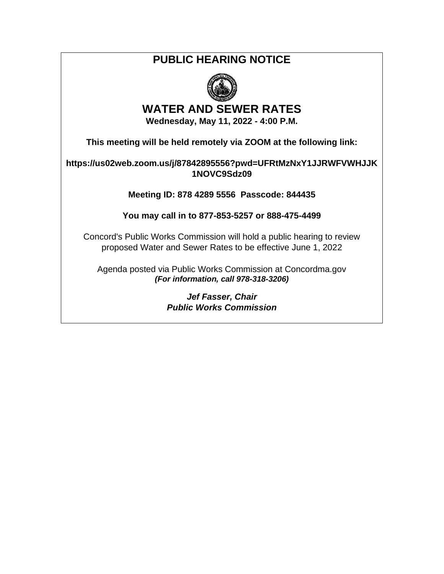## **PUBLIC HEARING NOTICE**



## **WATER AND SEWER RATES**

**Wednesday, May 11, 2022 - 4:00 P.M.** 

**This meeting will be held remotely via ZOOM at the following link:** 

**https://us02web.zoom.us/j/87842895556?pwd=UFRtMzNxY1JJRWFVWHJJK 1NOVC9Sdz09**

**Meeting ID: 878 4289 5556 Passcode: 844435**

**You may call in to 877-853-5257 or 888-475-4499**

Concord's Public Works Commission will hold a public hearing to review proposed Water and Sewer Rates to be effective June 1, 2022

Agenda posted via Public Works Commission at Concordma.gov *(For information, call 978-318-3206)* 

> *Jef Fasser, Chair Public Works Commission*